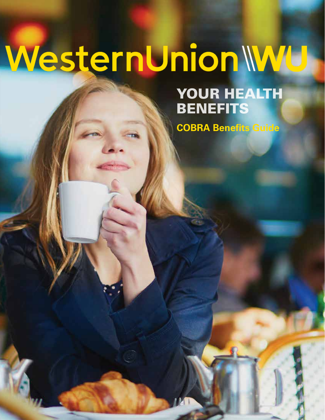# WesternUnionWU

# YOUR HEALTH BENEFITS

**COBRA Benefits Guide**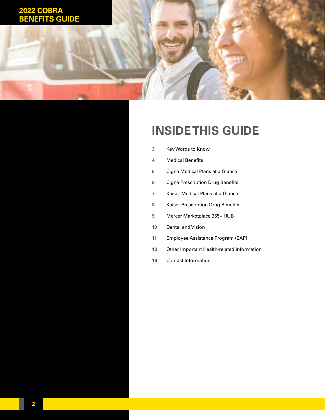## **2022 COBRA GUIDE**

# **INSIDE THIS GUIDE**

- [Key Words to Know](#page-2-0)
- [Medical Benefits](#page-3-0)
- [Cigna Medical Plans at a Glance](#page-4-0)
- [Cigna Prescription Drug Benefits](#page-5-0)
- [Kaiser Medical Plans at a Glance](#page-6-0)
- [Kaiser Prescription Drug Benefits](#page-7-0)
- [Mercer Marketplace 365+ HUB](#page-8-0)
- [Dental and Vision](#page-9-0)
- [Employee Assistance Program \(EAP\)](#page-10-0)
- [Other Important Health-related Information](#page-11-0)
- [Contact Information](#page-18-0)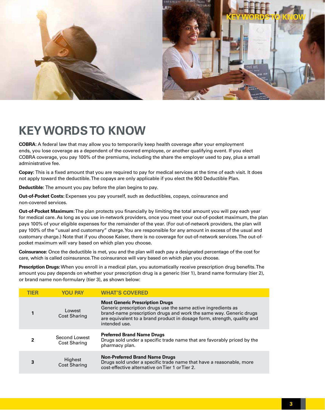<span id="page-2-0"></span>

# **KEY WORDS TO KNOW**

**COBRA:** A federal law that may allow you to temporarily keep health coverage after your employment ends, you lose coverage as a dependent of the covered employee, or another qualifying event. If you elect COBRA coverage, you pay 100% of the premiums, including the share the employer used to pay, plus a small administrative fee.

**Copay:** This is a fixed amount that you are required to pay for medical services at the time of each visit. It does not apply toward the deductible. The copays are only applicable if you elect the 900 Deductible Plan.

**Deductible:** The amount you pay before the plan begins to pay.

**Out-of-Pocket Costs:** Expenses you pay yourself, such as deductibles, copays, coinsurance and non-covered services.

**Out-of-Pocket Maximum**: The plan protects you financially by limiting the total amount you will pay each year for medical care. As long as you use in-network providers, once you meet your out-of-pocket maximum, the plan pays 100% of your eligible expenses for the remainder of the year. (For out-of-network providers, the plan will pay 100% of the "usual and customary" charge. You are responsible for any amount in excess of the usual and customary charge.) Note that if you choose Kaiser, there is no coverage for out-of-network services. The out-ofpocket maximum will vary based on which plan you choose.

**Coinsurance:** Once the deductible is met, you and the plan will each pay a designated percentage of the cost for care, which is called coinsurance. The coinsurance will vary based on which plan you choose.

**Prescription Drugs:** When you enroll in a medical plan, you automatically receive prescription drug benefits. The amount you pay depends on whether your prescription drug is a generic (tier 1), brand name formulary (tier 2), or brand name non-formulary (tier 3), as shown below:

| TIFR | <b>YOU PAY</b>                       | <b>WHAT'S COVERED</b>                                                                                                                                                                                                                                                     |
|------|--------------------------------------|---------------------------------------------------------------------------------------------------------------------------------------------------------------------------------------------------------------------------------------------------------------------------|
|      | Lowest<br><b>Cost Sharing</b>        | <b>Most Generic Prescription Drugs</b><br>Generic prescription drugs use the same active ingredients as<br>brand-name prescription drugs and work the same way. Generic drugs<br>are equivalent to a brand product in dosage form, strength, quality and<br>intended use. |
|      | Second Lowest<br><b>Cost Sharing</b> | <b>Preferred Brand Name Drugs</b><br>Drugs sold under a specific trade name that are favorably priced by the<br>pharmacy plan.                                                                                                                                            |
| 3    | Highest<br><b>Cost Sharing</b>       | <b>Non-Preferred Brand Name Drugs</b><br>Drugs sold under a specific trade name that have a reasonable, more<br>cost-effective alternative on Tier 1 or Tier 2.                                                                                                           |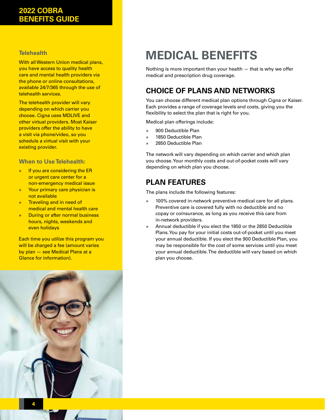## <span id="page-3-0"></span>**2022 COBRA BENEFITS GUIDE**

## **Telehealth**

With all Western Union medical plans, you have access to quality health care and mental health providers via the phone or online consultations, available 24/7/365 through the use of telehealth services.

The telehealth provider will vary depending on which carrier you choose. Cigna uses MDLIVE and other virtual providers. Most Kaiser providers offer the ability to have a visit via phone/video, so you schedule a virtual visit with your existing provider.

## **When to Use Telehealth:**

- » If you are considering the ER or urgent care center for a non-emergency medical issue
- » Your primary care physician is not available
- » Traveling and in need of medical and mental health care
- » During or after normal business hours, nights, weekends and even holidays

Each time you utilize this program you will be charged a fee (amount varies by plan — see Medical Plans at a Glance for information).



# **MEDICAL BENEFITS**

Nothing is more important than your health — that is why we offer medical and prescription drug coverage.

## **CHOICE OF PLANS AND NETWORKS**

You can choose different medical plan options through Cigna or Kaiser. Each provides a range of coverage levels and costs, giving you the flexibility to select the plan that is right for you.

Medical plan offerings include:

- » 900 Deductible Plan
- » 1850 Deductible Plan
- » 2850 Deductible Plan

The network will vary depending on which carrier and which plan you choose. Your monthly costs and out-of-pocket costs will vary depending on which plan you choose.

## **PLAN FEATURES**

The plans include the following features:

- » 100% covered in-network preventive medical care for all plans. Preventive care is covered fully with no deductible and no copay or coinsurance, as long as you receive this care from in-network providers.
- » Annual deductible if you elect the 1850 or the 2850 Deductible Plans. You pay for your initial costs out-of-pocket until you meet your annual deductible. If you elect the 900 Deductible Plan, you may be responsible for the cost of some services until you meet your annual deductible. The deductible will vary based on which plan you choose.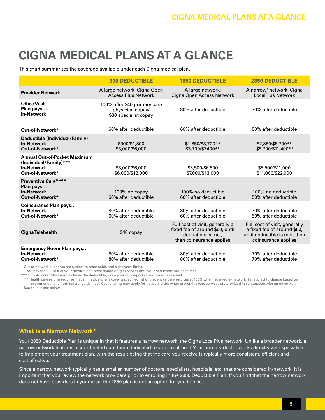# <span id="page-4-0"></span>**CIGNA MEDICAL PLANS AT A GLANCE**

This chart summarizes the coverage available under each Cigna medical plan.

|                                                                                                       | <b>900 DEDUCTIBLE</b>                                                     | <b>1850 DEDUCTIBLE</b>                                                                                               | <b>2850 DEDUCTIBLE</b>                                                                                               |
|-------------------------------------------------------------------------------------------------------|---------------------------------------------------------------------------|----------------------------------------------------------------------------------------------------------------------|----------------------------------------------------------------------------------------------------------------------|
| <b>Provider Network</b>                                                                               | A large network: Cigna Open<br><b>Access Plus Network</b>                 | A large network:<br>Cigna Open Access Network                                                                        | A narrow <sup>†</sup> network: Cigna<br><b>LocalPlus Network</b>                                                     |
| <b>Office Visit</b><br>Plan pays<br><b>In-Network</b>                                                 | 100% after \$40 primary care<br>physician copay/<br>\$80 specialist copay | 80% after deductible                                                                                                 | 70% after deductible                                                                                                 |
| Out-of-Network*                                                                                       | 60% after deductible                                                      | 60% after deductible                                                                                                 | 50% after deductible                                                                                                 |
| Deductible (Individual/Family)<br><b>In-Network</b><br>Out-of-Network*                                | \$900/\$1,800<br>\$3,000/\$6,000                                          | \$1,850/\$3,700**<br>\$3,700/\$7,400**                                                                               | \$2,850/\$5,700**<br>\$5,700/\$11,400**                                                                              |
| <b>Annual Out-of-Pocket Maximum</b><br>(Individual/Family)***<br><b>In-Network</b><br>Out-of-Network* | \$3,000/\$6,000<br>\$6,000/\$12,000                                       | \$3,500/\$6,500<br>\$7,000/\$13,000                                                                                  | \$5,500/\$11,000<br>\$11,000/\$22,000                                                                                |
| <b>Preventive Care****</b><br>Plan pays<br><b>In-Network</b><br>Out-of-Network*                       | 100% no copay<br>60% after deductible                                     | 100% no deductible<br>60% after deductible                                                                           | 100% no deductible<br>50% after deductible                                                                           |
| <b>Coinsurance Plan pays</b><br><b>In-Network</b><br>Out-of-Network*                                  | 80% after deductible<br>60% after deductible                              | 80% after deductible<br>60% after deductible                                                                         | 70% after deductible<br>50% after deductible                                                                         |
| Cigna Telehealth                                                                                      | \$40 copay                                                                | Full cost of visit, generally a<br>fixed fee of around \$50, until<br>deductible is met.<br>then coinsurance applies | Full cost of visit, generally<br>a fixed fee of around \$50,<br>until deductible is met, then<br>coinsurance applies |
| <b>Emergency Room Plan pays</b><br><b>In-Network</b><br>Out-of-Network*                               | 80% after deductible<br>80% after deductible                              | 80% after deductible<br>80% after deductible                                                                         | 70% after deductible<br>70% after deductible                                                                         |

\* Out-of-network expenses are subject to reasonable and customary limits.

\*\* You pay the full cost of your medical and prescription drug expenses until your deductible has been met.

\*\*\* Out-of-Pocket Maximum includes the deductible; once your out-of-pocket maximum is reached.

\*\*\*\* Health care reform requires that all medical plans cover a specified list of preventive care services at 100% when received in-network (list subject to change based on recommendations from federal guidelines). Cost sharing may apply for network visits when preventive care services are provided in conjunction with an office visit.

† See callout box below.

## **What is a Narrow Network?**

Your 2850 Deductible Plan is unique in that it features a narrow network, the Cigna LocalPlus network. Unlike a broader network, a narrow network features a coordinated care team dedicated to your treatment. Your primary doctor works directly with specialists to implement your treatment plan, with the result being that the care you receive is typically more consistent, efficient and cost effective.

Since a narrow network typically has a smaller number of doctors, specialists, hospitals, etc. that are considered in-network, it is important that you review the network providers prior to enrolling in the 2850 Deductible Plan. If you find that the narrow network does not have providers in your area, the 2850 plan is not an option for you to elect.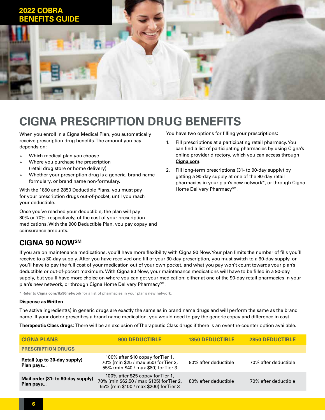<span id="page-5-0"></span>

## **CIGNA PRESCRIPTION DRUG BENEFITS**

When you enroll in a Cigna Medical Plan, you automatically receive prescription drug benefits. The amount you pay depends on:

- » Which medical plan you choose
- » Where you purchase the prescription (retail drug store or home delivery)
- » Whether your prescription drug is a generic, brand name formulary, or brand name non-formulary.

With the 1850 and 2850 Deductible Plans, you must pay for your prescription drugs out-of-pocket, until you reach your deductible.

Once you've reached your deductible, the plan will pay 80% or 70%, respectively, of the cost of your prescription medications. With the 900 Deductible Plan, you pay copay and coinsurance amounts.

## **CIGNA 90 NOWSM**

You have two options for filling your prescriptions:

- 1. Fill prescriptions at a participating retail pharmacy. You can find a list of participating pharmacies by using Cigna's online provider directory, which you can access through **[Cigna.com](http://Cigna.com)**.
- 2. Fill long-term prescriptions (31- to 90-day supply) by getting a 90-day supply at one of the 90-day retail pharmacies in your plan's new network\*, or through Cigna Home Delivery Pharmacy<sup>SM</sup>.

If you are on maintenance medications, you'll have more flexibility with Cigna 90 Now. Your plan limits the number of fills you'll receive to a 30-day supply. After you have received one fill of your 30-day prescription, you must switch to a 90-day supply, or you'll have to pay the full cost of your medication out of your own pocket, and what you pay won't count towards your plan's deductible or out-of-pocket maximum. With Cigna 90 Now, your maintenance medications will have to be filled in a 90-day supply, but you'll have more choice on where you can get your medication: either at one of the 90-day retail pharmacies in your plan's new network, or through Cigna Home Delivery Pharmacy<sup>SM</sup>.

\* Refer to **[Cigna.com/Rx90network](http://Cigna.com/Rx90network)** for a list of pharmacies in your plan's new network.

#### **Dispense as Written**

The active ingredient(s) in generic drugs are exactly the same as in brand name drugs and will perform the same as the brand name. If your doctor prescribes a brand name medication, you would need to pay the generic copay and difference in cost.

**Therapeutic Class drugs:** There will be an exclusion of Therapeutic Class drugs if there is an over-the-counter option available.

| <b>CIGNA PLANS</b>                             | <b>900 DEDUCTIBLE</b>                                                                                                    | <b>1850 DEDUCTIBLE</b> | <b>2850 DEDUCTIBLE</b> |
|------------------------------------------------|--------------------------------------------------------------------------------------------------------------------------|------------------------|------------------------|
| <b>PRESCRIPTION DRUGS</b>                      |                                                                                                                          |                        |                        |
| Retail (up to 30-day supply)<br>Plan pays      | 100% after \$10 copay for Tier 1,<br>70% (min \$25 / max \$50) for Tier 2,<br>55% (min \$40 / max \$80) for Tier 3       | 80% after deductible   | 70% after deductible   |
| Mail order (31- to 90-day supply)<br>Plan pays | 100% after \$25 copay for Tier 1,<br>70% (min \$62.50 / max \$125) for Tier 2,<br>55% (min \$100 / max \$200) for Tier 3 | 80% after deductible   | 70% after deductible   |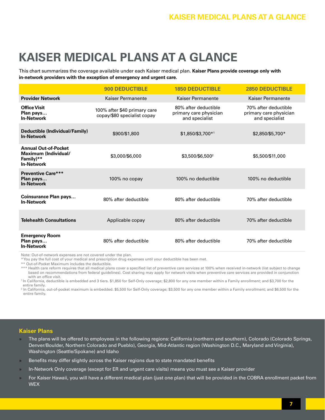# <span id="page-6-0"></span>**KAISER MEDICAL PLANS AT A GLANCE**

This chart summarizes the coverage available under each Kaiser medical plan. **Kaiser Plans provide coverage only with in-network providers with the exception of emergency and urgent care.**

|                                                                                       | <b>900 DEDUCTIBLE</b>                                       | <b>1850 DEDUCTIBLE</b>                                           | <b>2850 DEDUCTIBLE</b>                                           |
|---------------------------------------------------------------------------------------|-------------------------------------------------------------|------------------------------------------------------------------|------------------------------------------------------------------|
| <b>Provider Network</b>                                                               | Kaiser Permanente                                           | Kaiser Permanente                                                | Kaiser Permanente                                                |
| <b>Office Visit</b><br>Plan pays<br><b>In-Network</b>                                 | 100% after \$40 primary care<br>copay/\$80 specialist copay | 80% after deductible<br>primary care physician<br>and specialist | 70% after deductible<br>primary care physician<br>and specialist |
| Deductible (Individual/Family)<br><b>In-Network</b>                                   | \$900/\$1,800                                               | \$1,850/\$3,700*1                                                | \$2,850/\$5,700*                                                 |
| <b>Annual Out-of-Pocket</b><br>Maximum (Individual/<br>Family)**<br><b>In-Network</b> | \$3,000/\$6,000                                             | \$3,500/\$6,500 <sup>2</sup>                                     | \$5,500/\$11,000                                                 |
| <b>Preventive Care***</b><br>Plan pays<br><b>In-Network</b>                           | $100\%$ no copay                                            | 100% no deductible                                               | 100% no deductible                                               |
| <b>Coinsurance Plan pays</b><br><b>In-Network</b>                                     | 80% after deductible                                        | 80% after deductible                                             | 70% after deductible                                             |
| <b>Telehealth Consultations</b>                                                       | Applicable copay                                            | 80% after deductible                                             | 70% after deductible                                             |
| <b>Emergency Room</b><br>Plan pays<br><b>In-Network</b>                               | 80% after deductible                                        | 80% after deductible                                             | 70% after deductible                                             |

Note: Out-of-network expenses are not covered under the plan.

\* You pay the full cost of your medical and prescription drug expenses until your deductible has been met.

\*\* Out-of-Pocket Maximum includes the deductible.

\*\*\* Health care reform requires that all medical plans cover a specified list of preventive care services at 100% when received in-network (list subject to change based on recommendations from federal guidelines). Cost sharing may apply for network visits when preventive care services are provided in conjunction with an office visit.

<sup>1</sup>In California, deductible is embedded and 3 tiers. \$1,850 for Self-Only coverage; \$2,800 for any one member within a Family enrollment; and \$3,700 for the entire family.

<sup>2</sup> In California, out-of-pocket maximum is embedded. \$5,500 for Self-Only coverage; \$3,500 for any one member within a Family enrollment; and \$6,500 for the entire family.

#### **Kaiser Plans**

- » The plans will be offered to employees in the following regions: California (northern and southern), Colorado (Colorado Springs, Denver/Boulder, Northern Colorado and Pueblo), Georgia, Mid-Atlantic region (Washington D.C., Maryland and Virginia), Washington (Seattle/Spokane) and Idaho
- » Benefits may differ slightly across the Kaiser regions due to state mandated benefits
- » In-Network Only coverage (except for ER and urgent care visits) means you must see a Kaiser provider
- » For Kaiser Hawaii, you will have a different medical plan (just one plan) that will be provided in the COBRA enrollment packet from **WFX**

**7**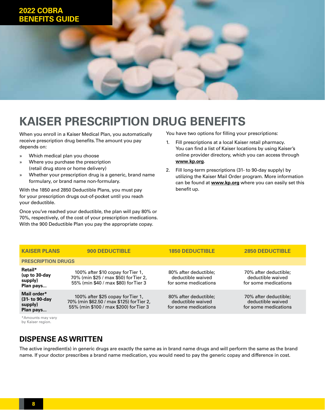# <span id="page-7-0"></span>**2022 COBRA BENEFITS GUIDE**

# **KAISER PRESCRIPTION DRUG BENEFITS**

When you enroll in a Kaiser Medical Plan, you automatically receive prescription drug benefits. The amount you pay depends on:

- » Which medical plan you choose
- » Where you purchase the prescription (retail drug store or home delivery)
- » Whether your prescription drug is a generic, brand name formulary, or brand name non-formulary.

With the 1850 and 2850 Deductible Plans, you must pay for your prescription drugs out-of-pocket until you reach your deductible.

Once you've reached your deductible, the plan will pay 80% or 70%, respectively, of the cost of your prescription medications. With the 900 Deductible Plan you pay the appropriate copay.

You have two options for filling your prescriptions:

- 1. Fill prescriptions at a local Kaiser retail pharmacy. You can find a list of Kaiser locations by using Kaiser's online provider directory, which you can access through **[www.kp.org](http://www.kp.org)**.
- 2. Fill long-term prescriptions (31- to 90-day supply) by utilizing the Kaiser Mail Order program. More information can be found at **[www.kp.org](http://www.kp.org)** where you can easily set this benefit up.

| <b>KAISER PLANS</b>                                   | <b>900 DEDUCTIBLE</b>                                                                                                    | <b>1850 DEDUCTIBLE</b>                                             | <b>2850 DEDUCTIBLE</b>                                             |
|-------------------------------------------------------|--------------------------------------------------------------------------------------------------------------------------|--------------------------------------------------------------------|--------------------------------------------------------------------|
| <b>PRESCRIPTION DRUGS</b>                             |                                                                                                                          |                                                                    |                                                                    |
| Retail*<br>(up to $30$ -day<br>supply)<br>Plan pays   | 100% after \$10 copay for Tier 1,<br>70% (min \$25 / max \$50) for Tier 2,<br>55% (min \$40 / max \$80) for Tier 3       | 80% after deductible;<br>deductible waived<br>for some medications | 70% after deductible;<br>deductible waived<br>for some medications |
| Mail order*<br>(31- to 90-day<br>supply)<br>Plan pays | 100% after \$25 copay for Tier 1,<br>70% (min \$62.50 / max \$125) for Tier 2,<br>55% (min \$100 / max \$200) for Tier 3 | 80% after deductible;<br>deductible waived<br>for some medications | 70% after deductible;<br>deductible waived<br>for some medications |
|                                                       |                                                                                                                          |                                                                    |                                                                    |

\*Amounts may vary by Kaiser region.

## **DISPENSE AS WRITTEN**

The active ingredient(s) in generic drugs are exactly the same as in brand name drugs and will perform the same as the brand name. If your doctor prescribes a brand name medication, you would need to pay the generic copay and difference in cost.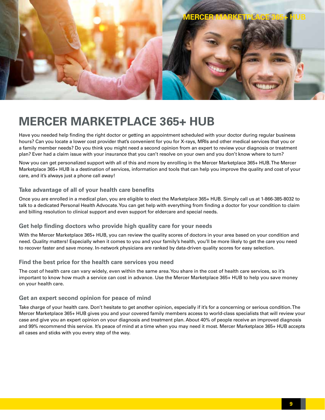<span id="page-8-0"></span>

# **MERCER MARKETPLACE 365+ HUB**

Have you needed help finding the right doctor or getting an appointment scheduled with your doctor during regular business hours? Can you locate a lower cost provider that's convenient for you for X-rays, MRIs and other medical services that you or a family member needs? Do you think you might need a second opinion from an expert to review your diagnosis or treatment plan? Ever had a claim issue with your insurance that you can't resolve on your own and you don't know where to turn?

Now you can get personalized support with all of this and more by enrolling in the Mercer Marketplace 365+ HUB. The Mercer Marketplace 365+ HUB is a destination of services, information and tools that can help you improve the quality and cost of your care, and it's always just a phone call away!

### **Take advantage of all of your health care benefits**

Once you are enrolled in a medical plan, you are eligible to elect the Marketplace 365+ HUB. Simply call us at 1-866-385-8032 to talk to a dedicated Personal Health Advocate. You can get help with everything from finding a doctor for your condition to claim and billing resolution to clinical support and even support for eldercare and special needs.

#### **Get help finding doctors who provide high quality care for your needs**

With the Mercer Marketplace 365+ HUB, you can review the quality scores of doctors in your area based on your condition and need. Quality matters! Especially when it comes to you and your family's health, you'll be more likely to get the care you need to recover faster and save money. In-network physicians are ranked by data-driven quality scores for easy selection.

#### **Find the best price for the health care services you need**

The cost of health care can vary widely, even within the same area. You share in the cost of health care services, so it's important to know how much a service can cost in advance. Use the Mercer Marketplace 365+ HUB to help you save money on your health care.

#### **Get an expert second opinion for peace of mind**

Take charge of your health care. Don't hesitate to get another opinion, especially if it's for a concerning or serious condition. The Mercer Marketplace 365+ HUB gives you and your covered family members access to world-class specialists that will review your case and give you an expert opinion on your diagnosis and treatment plan. About 40% of people receive an improved diagnosis and 99% recommend this service. It's peace of mind at a time when you may need it most. Mercer Marketplace 365+ HUB accepts all cases and sticks with you every step of the way.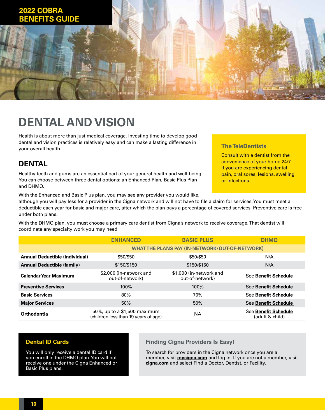<span id="page-9-0"></span>

# **DENTAL AND VISION**

Health is about more than just medical coverage. Investing time to develop good dental and vision practices is relatively easy and can make a lasting difference in your overall health.

## **DENTAL**

Healthy teeth and gums are an essential part of your general health and well-being. You can choose between three dental options: an Enhanced Plan, Basic Plus Plan and DHMO.

With the Enhanced and Basic Plus plan, you may see any provider you would like,

## **The TeleDentists**

Consult with a dentist from the convenience of your home 24/7 if you are experiencing dental pain, oral sores, lesions, swelling or infections.

although you will pay less for a provider in the Cigna network and will not have to file a claim for services. You must meet a deductible each year for basic and major care, after which the plan pays a percentage of covered services. Preventive care is free under both plans.

With the DHMO plan, you must choose a primary care dentist from Cigna's network to receive coverage. That dentist will coordinate any specialty work you may need.

|                                       | <b>BASIC PLUS</b><br><b>ENHANCED</b>                                 |                                                       | <b>DHMO</b>                                    |  |
|---------------------------------------|----------------------------------------------------------------------|-------------------------------------------------------|------------------------------------------------|--|
|                                       |                                                                      | <b>WHAT THE PLANS PAY (IN-NETWORK/OUT-OF-NETWORK)</b> |                                                |  |
| <b>Annual Deductible (individual)</b> | \$50/\$50                                                            | \$50/\$50                                             | N/A                                            |  |
| <b>Annual Deductible (family)</b>     | \$150/\$150                                                          | \$150/\$150                                           | N/A                                            |  |
| <b>Calendar Year Maximum</b>          | \$2,000 (in-network and<br>out-of-network)                           | \$1,000 (in-network and<br>out-of-network)            | <b>See Benefit Schedule</b>                    |  |
| <b>Preventive Services</b>            | 100%                                                                 | 100%                                                  | <b>See Benefit Schedule</b>                    |  |
| <b>Basic Services</b>                 | 80%                                                                  | 70%                                                   | <b>See Benefit Schedule</b>                    |  |
| <b>Major Services</b>                 | 50%                                                                  | 50%                                                   | <b>See Benefit Schedule</b>                    |  |
| Orthodontia                           | 50%, up to a \$1,500 maximum<br>(children less than 19 years of age) | <b>NA</b>                                             | <b>See Benefit Schedule</b><br>(adult & child) |  |

## **Dental ID Cards**

You will only receive a dental ID card if you enroll in the DHMO plan. You will not receive one under the Cigna Enhanced or Basic Plus plans.

### **Finding Cigna Providers Is Easy!**

To search for providers in the Cigna network once you are a member, visit **[mycigna.com](http://mycigna.com)** and log in. If you are not a member, visit **[cigna.com](http://cigna.com)** and select Find a Doctor, Dentist, or Facility.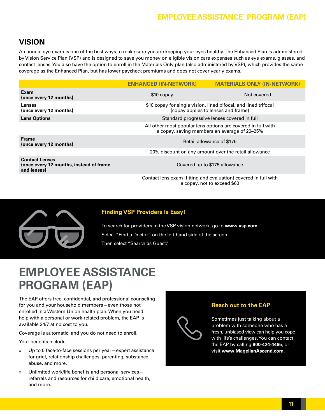## **Employee Assistance Program (EAP)**

## <span id="page-10-0"></span>**VISION**

An annual eye exam is one of the best ways to make sure you are keeping your eyes healthy. The Enhanced Plan is administered by Vision Service Plan (VSP) and is designed to save you money on eligible vision care expenses such as eye exams, glasses, and contact lenses. You also have the option to enroll in the Materials Only plan (also administered by VSP), which provides the same coverage as the Enhanced Plan, but has lower paycheck premiums and does not cover yearly exams.

|                                                                                 | <b>ENHANCED (IN-NETWORK)</b>                                                                                 | <b>MATERIALS ONLY (IN-NETWORK)</b>                                                             |  |
|---------------------------------------------------------------------------------|--------------------------------------------------------------------------------------------------------------|------------------------------------------------------------------------------------------------|--|
| Exam<br>(once every 12 months)                                                  | \$10 copay                                                                                                   | Not covered                                                                                    |  |
| <b>Lenses</b><br>(once every 12 months)                                         | \$10 copay for single vision, lined bifocal, and lined trifocal<br>(copay applies to lenses and frame)       |                                                                                                |  |
| <b>Lens Options</b>                                                             |                                                                                                              | Standard progressive lenses covered in full                                                    |  |
|                                                                                 | All other most popular lens options are covered in full with<br>a copay, saving members an average of 20-25% |                                                                                                |  |
| <b>Frame</b><br>(once every 12 months)                                          | Retail allowance of \$175                                                                                    |                                                                                                |  |
|                                                                                 |                                                                                                              | 20% discount on any amount over the retail allowance                                           |  |
| <b>Contact Lenses</b><br>(once every 12 months, instead of frame<br>and lenses) |                                                                                                              | Covered up to \$175 allowance                                                                  |  |
|                                                                                 |                                                                                                              | Contact lens exam (fitting and evaluation) covered in full with<br>a copay, not to exceed \$60 |  |
|                                                                                 |                                                                                                              |                                                                                                |  |



## **Finding VSP Providers Is Easy!**

To search for providers in the VSP vision network, go to **[www.vsp.com](http://www.vsp.com).** Select "Find a Doctor" on the left-hand side of the screen. Then select "Search as Guest."

# **EMPLOYEE ASSISTANCE PROGRAM (EAP)**

The EAP offers free, confidential, and professional counseling for you and your household members—even those not enrolled in a Western Union health plan. When you need help with a personal or work-related problem, the EAP is available 24/7 at no cost to you.

Coverage is automatic, and you do not need to enroll.

Your benefits include:

- » Up to 5 face-to-face sessions per year—expert assistance for grief, relationship challenges, parenting, substance abuse, and more.
- » Unlimited work/life benefits and personal services referrals and resources for child care, emotional health, and more.



## **Reach out to the EAP**

Sometimes just talking about a problem with someone who has a fresh, unbiased view can help you cope with life's challenges. You can contact the EAP by calling **800-424-4485**, or visit **[www.MagellanAscend.com](http://www.MagellanAscend.com).**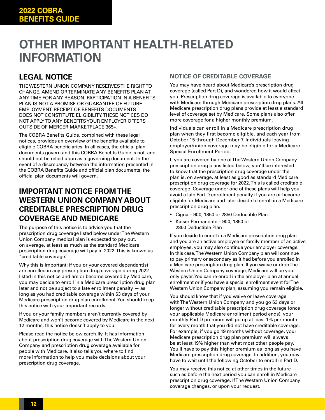# <span id="page-11-0"></span>**OTHER IMPORTANT HEALTH-RELATED INFORMATION**

## **LEGAL NOTICE**

THE WESTERN UNION COMPANY RESERVES THE RIGHT TO CHANGE, AMEND OR TERMINATE ANY BENEFITS PLAN AT ANY TIME FOR ANY REASON. PARTICIPATION IN A BENEFITS PLAN IS NOT A PROMISE OR GUARANTEE OF FUTURE EMPLOYMENT. RECEIPT OF BENEFITS DOCUMENTS DOES NOT CONSTITUTE ELIGIBILITY. THESE NOTICES DO NOT APPLY TO ANY BENEFITS YOUR EMPLOYER OFFERS OUTSIDE OF MERCER MARKETPLACE 365+.

The COBRA Benefits Guide, combined with these legal notices, provides an overview of the benefits available to eligible COBRA beneficiaries. In all cases, the official plan documents govern and this COBRA Benefits Guide is not, and should not be relied upon as a governing document. In the event of a discrepancy between the information presented in the COBRA Benefits Guide and official plan documents, the official plan documents will govern.

## **IMPORTANT NOTICE FROM THE WESTERN UNION COMPANY ABOUT CREDITABLE PRESCRIPTION DRUG COVERAGE AND MEDICARE**

The purpose of this notice is to advise you that the prescription drug coverage listed below under The Western Union Company medical plan is expected to pay out, on average, at least as much as the standard Medicare prescription drug coverage will pay in 2022. This is known as "creditable coverage."

Why this is important: if you or your covered dependent(s) are enrolled in any prescription drug coverage during 2022 listed in this notice and are or become covered by Medicare, you may decide to enroll in a Medicare prescription drug plan later and not be subject to a late enrollment penalty  $-$  as long as you had creditable coverage within 63 days of your Medicare prescription drug plan enrollment. You should keep this notice with your important records.

If you or your family members aren't currently covered by Medicare and won't become covered by Medicare in the next 12 months, this notice doesn't apply to you.

Please read the notice below carefully. It has information about prescription drug coverage with The Western Union Company and prescription drug coverage available for people with Medicare. It also tells you where to find more information to help you make decisions about your prescription drug coverage.

## **NOTICE OF CREDITABLE COVERAGE**

You may have heard about Medicare's prescription drug coverage (called Part D), and wondered how it would affect you. Prescription drug coverage is available to everyone with Medicare through Medicare prescription drug plans. All Medicare prescription drug plans provide at least a standard level of coverage set by Medicare. Some plans also offer more coverage for a higher monthly premium.

Individuals can enroll in a Medicare prescription drug plan when they first become eligible, and each year from October 15 through December 7. Individuals leaving employer/union coverage may be eligible for a Medicare Special Enrollment Period.

If you are covered by one of The Western Union Company prescription drug plans listed below, you'll be interested to know that the prescription drug coverage under the plan is, on average, at least as good as standard Medicare prescription drug coverage for 2022. This is called creditable coverage. Coverage under one of these plans will help you avoid a late Part D enrollment penalty if you are or become eligible for Medicare and later decide to enroll in a Medicare prescription drug plan.

- Cigna 900, 1850 or 2850 Deductible Plan
- Kaiser Permanente 900, 1850 or 2850 Deductible Plan

If you decide to enroll in a Medicare prescription drug plan and you are an active employee or family member of an active employee, you may also continue your employer coverage. In this case, The Western Union Company plan will continue to pay primary or secondary as it had before you enrolled in a Medicare prescription drug plan. If you waive or drop The Western Union Company coverage, Medicare will be your only payer. You can re-enroll in the employer plan at annual enrollment or if you have a special enrollment event for The Western Union Company plan, assuming you remain eligible.

You should know that if you waive or leave coverage with The Western Union Company and you go 63 days or longer without creditable prescription drug coverage (once your applicable Medicare enrollment period ends), your monthly Part D premium will go up at least 1% per month for every month that you did not have creditable coverage. For example, if you go 19 months without coverage, your Medicare prescription drug plan premium will always be at least 19% higher than what most other people pay. You'll have to pay this higher premium as long as you have Medicare prescription drug coverage. In addition, you may have to wait until the following October to enroll in Part D.

You may receive this notice at other times in the future such as before the next period you can enroll in Medicare prescription drug coverage, if The Western Union Company coverage changes, or upon your request.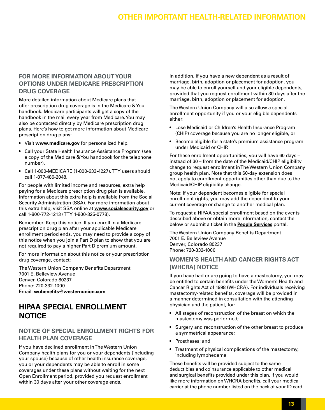## **Other Important Health-related Information**

## **FOR MORE INFORMATION ABOUT YOUR OPTIONS UNDER MEDICARE PRESCRIPTION DRUG COVERAGE**

More detailed information about Medicare plans that offer prescription drug coverage is in the Medicare & You handbook. Medicare participants will get a copy of the handbook in the mail every year from Medicare. You may also be contacted directly by Medicare prescription drug plans. Here's how to get more information about Medicare prescription drug plans:

- Visit **[www.medicare.gov](http://www.medicare.gov)** for personalized help.
- Call your State Health Insurance Assistance Program (see a copy of the Medicare & You handbook for the telephone number).
- Call 1-800-MEDICARE (1-800-633-4227). TTY users should call 1-877-486-2048.

For people with limited income and resources, extra help paying for a Medicare prescription drug plan is available. Information about this extra help is available from the Social Security Administration (SSA). For more information about this extra help, visit SSA online at **[www.socialsecurity.gov](http://www.socialsecurity.gov)** or call 1-800-772-1213 (TTY 1-800-325-0778).

Remember: Keep this notice. If you enroll in a Medicare prescription drug plan after your applicable Medicare enrollment period ends, you may need to provide a copy of this notice when you join a Part D plan to show that you are not required to pay a higher Part D premium amount.

For more information about this notice or your prescription drug coverage, contact:

The Western Union Company Benefits Department 7001 E. Belleview Avenue Denver, Colorado 80237 Phone: 720-332-1000 Email: **[wubenefits@westernunion.com](mailto:wubenefits@westernunion.com)**

## **HIPAA SPECIAL ENROLLMENT NOTICE**

## **NOTICE OF SPECIAL ENROLLMENT RIGHTS FOR HEALTH PLAN COVERAGE**

If you have declined enrollment in The Western Union Company health plans for you or your dependents (including your spouse) because of other health insurance coverage, you or your dependents may be able to enroll in some coverages under these plans without waiting for the next Open Enrollment period, provided you request enrollment within 30 days after your other coverage ends.

In addition, if you have a new dependent as a result of marriage, birth, adoption or placement for adoption, you may be able to enroll yourself and your eligible dependents, provided that you request enrollment within 30 days after the marriage, birth, adoption or placement for adoption.

The Western Union Company will also allow a special enrollment opportunity if you or your eligible dependents either:

- Lose Medicaid or Children's Health Insurance Program (CHIP) coverage because you are no longer eligible, or
- Become eligible for a state's premium assistance program under Medicaid or CHIP.

For these enrollment opportunities, you will have 60 days – instead of 30 – from the date of the Medicaid/CHIP eligibility change to request enrollment in The Western Union Company group health plan. Note that this 60-day extension does not apply to enrollment opportunities other than due to the Medicaid/CHIP eligibility change.

Note: If your dependent becomes eligible for special enrollment rights, you may add the dependent to your current coverage or change to another medical plan.

To request a HIPAA special enrollment based on the events described above or obtain more information, contact the below or submit a ticket in the **[People Services](https://wuprod.service-now.com/hr)** portal.

The Western Union Company Benefits Department 7001 E. Belleview Avenue Denver, Colorado 80237 Phone: 720-332-1000

## **WOMEN'S HEALTH AND CANCER RIGHTS ACT (WHCRA) NOTICE**

If you have had or are going to have a mastectomy, you may be entitled to certain benefits under the Women's Health and Cancer Rights Act of 1998 (WHCRA). For individuals receiving mastectomy-related benefits, coverage will be provided in a manner determined in consultation with the attending physician and the patient, for:

- All stages of reconstruction of the breast on which the mastectomy was performed;
- Surgery and reconstruction of the other breast to produce a symmetrical appearance;
- Prostheses; and
- Treatment of physical complications of the mastectomy, including lymphedema.

These benefits will be provided subject to the same deductibles and coinsurance applicable to other medical and surgical benefits provided under this plan. If you would like more information on WHCRA benefits, call your medical carrier at the phone number listed on the back of your ID card.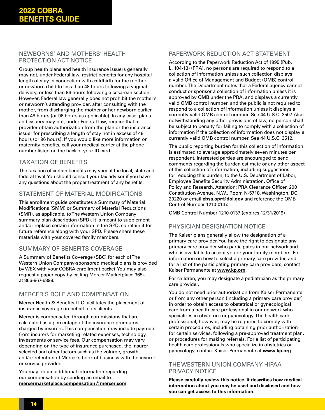## NEWBORNS' AND MOTHERS' HEALTH PROTECTION ACT NOTICE

Group health plans and health insurance issuers generally may not, under Federal law, restrict benefits for any hospital length of stay in connection with childbirth for the mother or newborn child to less than 48 hours following a vaginal delivery, or less than 96 hours following a cesarean section. However, Federal law generally does not prohibit the mother's or newborn's attending provider, after consulting with the mother, from discharging the mother or her newborn earlier than 48 hours (or 96 hours as applicable). In any case, plans and issuers may not, under Federal law, require that a provider obtain authorization from the plan or the insurance issuer for prescribing a length of stay not in excess of 48 hours (or 96 hours). If you would like more information on maternity benefits, call your medical carrier at the phone number listed on the back of your ID card.

## TAXATION OF BENEFITS

The taxation of certain benefits may vary at the local, state and federal level. You should consult your tax advisor if you have any questions about the proper treatment of any benefits.

## STATEMENT OF MATERIAL MODIFICATIONS

This enrollment guide constitutes a Summary of Material Modifications (SMM) or Summary of Material Reductions (SMR), as applicable, to The Western Union Company summary plan description (SPD). It is meant to supplement and/or replace certain information in the SPD, so retain it for future reference along with your SPD. Please share these materials with your covered family members.

## SUMMARY OF BENEFITS COVERAGE

A Summary of Benefits Coverage (SBC) for each of The Western Union Company-sponsored medical plans is provided by WEX with your COBRA enrollment packet. You may also request a paper copy by calling Mercer Marketplace 365+ at 866-867-6898.

## MERCER'S ROLE AND COMPENSATION

Mercer Health & Benefits LLC facilitates the placement of insurance coverage on behalf of its clients.

Mercer is compensated through commissions that are calculated as a percentage of the insurance premiums charged by insurers. This compensation may include payment from insurers for marketing related expenses, technology investments or service fees. Our compensation may vary depending on the type of insurance purchased, the insurer selected and other factors such as the volume, growth and/or retention of Mercer's book of business with the insurer or service provider.

You may obtain additional information regarding our compensation by sending an email to **[mercermarketplace.compensation@mercer.com](mailto:mercermarketplace.compensation@mercer.com)**.

## PAPERWORK REDUCTION ACT STATEMENT

According to the Paperwork Reduction Act of 1995 (Pub. L. 104-13) (PRA), no persons are required to respond to a collection of information unless such collection displays a valid Office of Management and Budget (OMB) control number. The Department notes that a Federal agency cannot conduct or sponsor a collection of information unless it is approved by OMB under the PRA, and displays a currently valid OMB control number, and the public is not required to respond to a collection of information unless it displays a currently valid OMB control number. See 44 U.S.C. 3507. Also, notwithstanding any other provisions of law, no person shall be subject to penalty for failing to comply with a collection of information if the collection of information does not display a currently valid OMB control number. See 44 U.S.C. 3512.

The public reporting burden for this collection of information is estimated to average approximately seven minutes per respondent. Interested parties are encouraged to send comments regarding the burden estimate or any other aspect of this collection of information, including suggestions for reducing this burden, to the U.S. Department of Labor, Employee Benefits Security Administration, Office of Policy and Research, Attention: PRA Clearance Officer, 200 Constitution Avenue, N.W., Room N-5718, Washington, DC 20220 or email **[ebsa.opr@dol.gov](mailto:ebsa.opr@dol.gov)** and reference the OMB Control Number 1210-0137.

OMB Control Number 1210-0137 (expires 12/31/2019)

## PHYSICIAN DESIGNATION NOTICE

The Kaiser plans generally allow the designation of a primary care provider. You have the right to designate any primary care provider who participates in our network and who is available to accept you or your family members. For information on how to select a primary care provider, and for a list of the participating primary care providers, contact Kaiser Permanente at **[www.kp.org](http://www.kp.org)**.

For children, you may designate a pediatrician as the primary care provider.

You do not need prior authorization from Kaiser Permanente or from any other person (including a primary care provider) in order to obtain access to obstetrical or gynecological care from a health care professional in our network who specializes in obstetrics or gynecology. The health care professional, however, may be required to comply with certain procedures, including obtaining prior authorization for certain services, following a pre-approved treatment plan, or procedures for making referrals. For a list of participating health care professionals who specialize in obstetrics or gynecology, contact Kaiser Permanente at **[www.kp.org](http://www.kp.org)**.

## THE WESTERN UNION COMPANY HIPAA PRIVACY NOTICE

**Please carefully review this notice. It describes how medical information about you may be used and disclosed and how you can get access to this information.**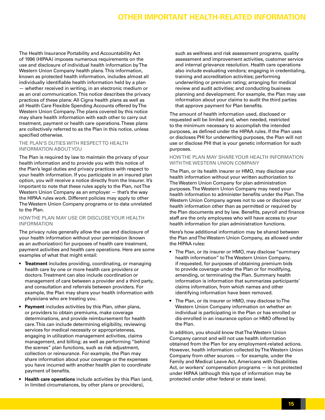## **Other Important Health-related Information**

The Health Insurance Portability and Accountability Act of 1996 (HIPAA) imposes numerous requirements on the use and disclosure of individual health information by The Western Union Company health plans. This information, known as protected health information, includes almost all individually identifiable health information held by a plan — whether received in writing, in an electronic medium or as an oral communication. This notice describes the privacy practices of these plans: All Cigna health plans as well as all Health Care Flexible Spending Accounts offered by The Western Union Company. The plans covered by this notice may share health information with each other to carry out treatment, payment or health care operations. These plans are collectively referred to as the Plan in this notice, unless specified otherwise.

#### THE PLAN'S DUTIES WITH RESPECTTO HEALTH INFORMATION ABOUT YOU

The Plan is required by law to maintain the privacy of your health information and to provide you with this notice of the Plan's legal duties and privacy practices with respect to your health information. If you participate in an insured plan option, you will receive a notice directly from the Insurer. It's important to note that these rules apply to the Plan, not The Western Union Company as an employer — that's the way the HIPAA rules work. Different policies may apply to other The Western Union Company programs or to data unrelated to the Plan.

#### HOW THE PLAN MAY USE OR DISCLOSE YOUR HEALTH INFORMATION

The privacy rules generally allow the use and disclosure of your health information without your permission (known as an authorization) for purposes of health care treatment, payment activities and health care operations. Here are some examples of what that might entail:

- **Treatment** includes providing, coordinating, or managing health care by one or more health care providers or doctors. Treatment can also include coordination or management of care between a provider and a third party, and consultation and referrals between providers. For example, the Plan may share your health information with physicians who are treating you.
- **Payment** includes activities by this Plan, other plans, or providers to obtain premiums, make coverage determinations, and provide reimbursement for health care. This can include determining eligibility, reviewing services for medical necessity or appropriateness, engaging in utilization management activities, claims management, and billing; as well as performing "behind the scenes" plan functions, such as risk adjustment, collection or reinsurance. For example, the Plan may share information about your coverage or the expenses you have incurred with another health plan to coordinate payment of benefits.
- **Health care operations** include activities by this Plan (and, in limited circumstances, by other plans or providers),

such as wellness and risk assessment programs, quality assessment and improvement activities, customer service and internal grievance resolution. Health care operations also include evaluating vendors; engaging in credentialing, training and accreditation activities; performing underwriting or premium rating; arranging for medical review and audit activities; and conducting business planning and development. For example, the Plan may use information about your claims to audit the third parties that approve payment for Plan benefits.

The amount of health information used, disclosed or requested will be limited and, when needed, restricted to the minimum necessary to accomplish the intended purposes, as defined under the HIPAA rules. If the Plan uses or discloses PHI for underwriting purposes, the Plan will not use or disclose PHI that is your genetic information for such purposes.

#### HOW THE PLAN MAY SHARE YOUR HEALTH INFORMATION WITH THE WESTERN UNION COMPANY

The Plan, or its health insurer or HMO, may disclose your health information without your written authorization to The Western Union Company for plan administration purposes. The Western Union Company may need your health information to administer benefits under the Plan. The Western Union Company agrees not to use or disclose your health information other than as permitted or required by the Plan documents and by law. Benefits, payroll and finance staff are the only employees who will have access to your health information for plan administration functions.

Here's how additional information may be shared between the Plan and The Western Union Company, as allowed under the HIPAA rules:

- The Plan, or its insurer or HMO, may disclose "summary health information" to The Western Union Company, if requested, for purposes of obtaining premium bids to provide coverage under the Plan or for modifying, amending, or terminating the Plan. Summary health information is information that summarizes participants' claims information, from which names and other identifying information have been removed.
- The Plan, or its insurer or HMO, may disclose to The Western Union Company information on whether an individual is participating in the Plan or has enrolled or dis-enrolled in an insurance option or HMO offered by the Plan.

In addition, you should know that The Western Union Company cannot and will not use health information obtained from the Plan for any employment-related actions. However, health information collected by The Western Union Company from other sources — for example, under the Family and Medical Leave Act, Americans with Disabilities Act, or workers' compensation programs — is not protected under HIPAA (although this type of information may be protected under other federal or state laws).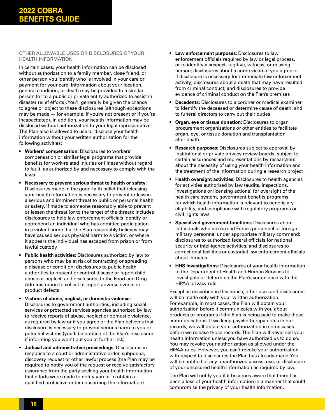#### OTHER ALLOWABLE USES OR DISCLOSURES OF YOUR HEALTH INFORMATION

In certain cases, your health information can be disclosed without authorization to a family member, close friend, or other person you identify who is involved in your care or payment for your care. Information about your location, general condition, or death may be provided to a similar person (or to a public or private entity authorized to assist in disaster relief efforts). You'll generally be given the chance to agree or object to these disclosures (although exceptions may be made — for example, if you're not present or if you're incapacitated). In addition, your health information may be disclosed without authorization to your legal representative. The Plan also is allowed to use or disclose your health information without your written authorization for the following activities:

- **Workers' compensation:** Disclosures to workers' compensation or similar legal programs that provide benefits for work-related injuries or illness without regard to fault, as authorized by and necessary to comply with the laws
- **Necessary to prevent serious threat to health or safety:**  Disclosures made in the good-faith belief that releasing your health information is necessary to prevent or lessen a serious and imminent threat to public or personal health or safety, if made to someone reasonably able to prevent or lessen the threat (or to the target of the threat); includes disclosures to help law enforcement officials identify or apprehend an individual who has admitted participation in a violent crime that the Plan reasonably believes may have caused serious physical harm to a victim, or where it appears the individual has escaped from prison or from lawful custody
- **Public health activities:** Disclosures authorized by law to persons who may be at risk of contracting or spreading a disease or condition; disclosures to public health authorities to prevent or control disease or report child abuse or neglect; and disclosures to the Food and Drug Administration to collect or report adverse events or product defects
- **Victims of abuse, neglect, or domestic violence:** Disclosures to government authorities, including social services or protected services agencies authorized by law to receive reports of abuse, neglect or domestic violence, as required by law or if you agree or the Plan believes that disclosure is necessary to prevent serious harm to you or potential victims (you'll be notified of the Plan's disclosure if informing you won't put you at further risk)
- **Judicial and administrative proceedings:** Disclosures in response to a court or administrative order, subpoena, discovery request or other lawful process (the Plan may be required to notify you of the request or receive satisfactory assurance from the party seeking your health information that efforts were made to notify you or to obtain a qualified protective order concerning the information)
- **Law enforcement purposes:** Disclosures to law enforcement officials required by law or legal process, or to identify a suspect, fugitive, witness, or missing person; disclosures about a crime victim if you agree or if disclosure is necessary for immediate law enforcement activity; disclosures about a death that may have resulted from criminal conduct; and disclosures to provide evidence of criminal conduct on the Plan's premises
- **Decedents:** Disclosures to a coroner or medical examiner to identify the deceased or determine cause of death; and to funeral directors to carry out their duties
- **Organ, eye or tissue donation:** Disclosures to organ procurement organizations or other entities to facilitate organ, eye, or tissue donation and transplantation after death
- **Research purposes:** Disclosures subject to approval by institutional or private privacy review boards, subject to certain assurances and representations by researchers about the necessity of using your health information and the treatment of the information during a research project
- **Health oversight activities:** Disclosures to health agencies for activities authorized by law (audits, inspections, investigations or licensing actions) for oversight of the health care system, government benefits programs for which health information is relevant to beneficiary eligibility, and compliance with regulatory programs or civil rights laws
- **Specialized government functions:** Disclosures about individuals who are Armed Forces personnel or foreign military personnel under appropriate military command; disclosures to authorized federal officials for national security or intelligence activities; and disclosures to correctional facilities or custodial law enforcement officials about inmates
- **HHS investigations:** Disclosures of your health information to the Department of Health and Human Services to investigate or determine the Plan's compliance with the HIPAA privacy rule

Except as described in this notice, other uses and disclosures will be made only with your written authorization. For example, in most cases, the Plan will obtain your authorization before it communicates with you about products or programs if the Plan is being paid to make those communications. If we keep psychotherapy notes in our records, we will obtain your authorization in some cases before we release those records. The Plan will never sell your health information unless you have authorized us to do so. You may revoke your authorization as allowed under the HIPAA rules. However, you can't revoke your authorization with respect to disclosures the Plan has already made. You will be notified of any unauthorized access, use, or disclosure of your unsecured health information as required by law.

The Plan will notify you if it becomes aware that there has been a loss of your health information in a manner that could compromise the privacy of your health information.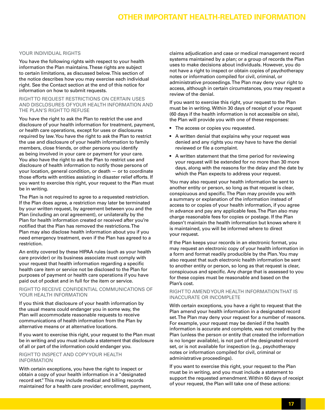## **Other Important Health-related Information**

#### YOUR INDIVIDUAL RIGHTS

You have the following rights with respect to your health information the Plan maintains. These rights are subject to certain limitations, as discussed below. This section of the notice describes how you may exercise each individual right. See the Contact section at the end of this notice for information on how to submit requests.

RIGHT TO REQUEST RESTRICTIONS ON CERTAIN USES AND DISCLOSURES OF YOUR HEALTH INFORMATION AND THE PLAN'S RIGHTTO REFUSE

You have the right to ask the Plan to restrict the use and disclosure of your health information for treatment, payment, or health care operations, except for uses or disclosures required by law. You have the right to ask the Plan to restrict the use and disclosure of your health information to family members, close friends, or other persons you identify as being involved in your care or payment for your care. You also have the right to ask the Plan to restrict use and disclosure of health information to notify those persons of your location, general condition, or death — or to coordinate those efforts with entities assisting in disaster relief efforts. If you want to exercise this right, your request to the Plan must be in writing.

The Plan is not required to agree to a requested restriction. If the Plan does agree, a restriction may later be terminated by your written request, by agreement between you and the Plan (including an oral agreement), or unilaterally by the Plan for health information created or received after you're notified that the Plan has removed the restrictions. The Plan may also disclose health information about you if you need emergency treatment, even if the Plan has agreed to a restriction.

An entity covered by these HIPAA rules (such as your health care provider) or its business associate must comply with your request that health information regarding a specific health care item or service not be disclosed to the Plan for purposes of payment or health care operations if you have paid out of pocket and in full for the item or service.

#### RIGHT TO RECEIVE CONFIDENTIAL COMMUNICATIONS OF YOUR HEALTH INFORMATION

If you think that disclosure of your health information by the usual means could endanger you in some way, the Plan will accommodate reasonable requests to receive communications of health information from the Plan by alternative means or at alternative locations.

If you want to exercise this right, your request to the Plan must be in writing and you must include a statement that disclosure of all or part of the information could endanger you.

#### RIGHT TO INSPECT AND COPY YOUR HEALTH INFORMATION

With certain exceptions, you have the right to inspect or obtain a copy of your health information in a "designated record set." This may include medical and billing records maintained for a health care provider; enrollment, payment, claims adjudication and case or medical management record systems maintained by a plan; or a group of records the Plan uses to make decisions about individuals. However, you do not have a right to inspect or obtain copies of psychotherapy notes or information compiled for civil, criminal, or administrative proceedings. The Plan may deny your right to access, although in certain circumstances, you may request a review of the denial.

If you want to exercise this right, your request to the Plan must be in writing. Within 30 days of receipt of your request (60 days if the health information is not accessible on site), the Plan will provide you with one of these responses:

- The access or copies you requested.
- A written denial that explains why your request was denied and any rights you may have to have the denial reviewed or file a complaint.
- A written statement that the time period for reviewing your request will be extended for no more than 30 more days, along with the reasons for the delay and the date by which the Plan expects to address your request.

You may also request your health information be sent to another entity or person, so long as that request is clear, conspicuous and specific. The Plan may provide you with a summary or explanation of the information instead of access to or copies of your health information, if you agree in advance and pay any applicable fees. The Plan also may charge reasonable fees for copies or postage. If the Plan doesn't maintain the health information but knows where it is maintained, you will be informed where to direct your request.

If the Plan keeps your records in an electronic format, you may request an electronic copy of your health information in a form and format readily producible by the Plan. You may also request that such electronic health information be sent to another entity or person, so long as that request is clear, conspicuous and specific. Any charge that is assessed to you for these copies must be reasonable and based on the Plan's cost.

#### RIGHT TO AMEND YOUR HEALTH INFORMATION THAT IS INACCURATE OR INCOMPLETE

With certain exceptions, you have a right to request that the Plan amend your health information in a designated record set. The Plan may deny your request for a number of reasons. For example, your request may be denied if the health information is accurate and complete, was not created by the Plan (unless the person or entity that created the information is no longer available), is not part of the designated record set, or is not available for inspection (e.g., psychotherapy notes or information compiled for civil, criminal or administrative proceedings).

If you want to exercise this right, your request to the Plan must be in writing, and you must include a statement to support the requested amendment. Within 60 days of receipt of your request, the Plan will take one of these actions: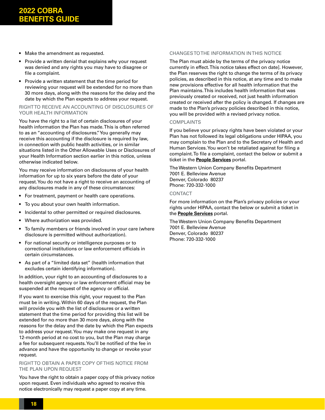- Make the amendment as requested.
- Provide a written denial that explains why your request was denied and any rights you may have to disagree or file a complaint.
- Provide a written statement that the time period for reviewing your request will be extended for no more than 30 more days, along with the reasons for the delay and the date by which the Plan expects to address your request.

#### RIGHT TO RECEIVE AN ACCOUNTING OF DISCLOSURES OF YOUR HEALTH INFORMATION

You have the right to a list of certain disclosures of your health information the Plan has made. This is often referred to as an "accounting of disclosures." You generally may receive this accounting if the disclosure is required by law, in connection with public health activities, or in similar situations listed in the Other Allowable Uses or Disclosures of your Health Information section earlier in this notice, unless otherwise indicated below.

You may receive information on disclosures of your health information for up to six years before the date of your request. You do not have a right to receive an accounting of any disclosures made in any of these circumstances:

- For treatment, payment or health care operations.
- To you about your own health information.
- Incidental to other permitted or required disclosures.
- Where authorization was provided.
- To family members or friends involved in your care (where disclosure is permitted without authorization).
- For national security or intelligence purposes or to correctional institutions or law enforcement officials in certain circumstances.
- As part of a "limited data set" (health information that excludes certain identifying information).

In addition, your right to an accounting of disclosures to a health oversight agency or law enforcement official may be suspended at the request of the agency or official.

If you want to exercise this right, your request to the Plan must be in writing. Within 60 days of the request, the Plan will provide you with the list of disclosures or a written statement that the time period for providing this list will be extended for no more than 30 more days, along with the reasons for the delay and the date by which the Plan expects to address your request. You may make one request in any 12-month period at no cost to you, but the Plan may charge a fee for subsequent requests. You'll be notified of the fee in advance and have the opportunity to change or revoke your request.

#### RIGHT TO OBTAIN A PAPER COPY OF THIS NOTICE FROM THE PLAN UPON REQUEST

You have the right to obtain a paper copy of this privacy notice upon request. Even individuals who agreed to receive this notice electronically may request a paper copy at any time.

#### CHANGES TO THE INFORMATION IN THIS NOTICE

The Plan must abide by the terms of the privacy notice currently in effect. This notice takes effect on date]. However, the Plan reserves the right to change the terms of its privacy policies, as described in this notice, at any time and to make new provisions effective for all health information that the Plan maintains. This includes health information that was previously created or received, not just health information created or received after the policy is changed. If changes are made to the Plan's privacy policies described in this notice, you will be provided with a revised privacy notice.

#### COMPLAINTS

If you believe your privacy rights have been violated or your Plan has not followed its legal obligations under HIPAA, you may complain to the Plan and to the Secretary of Health and Human Services. You won't be retaliated against for filing a complaint. To file a complaint, contact the below or submit a ticket in the **[People Services](https://wuprod.service-now.com/hr)** portal.

The Western Union Company Benefits Department 7001 E. Belleview Avenue Denver, Colorado 80237 Phone: 720-332-1000

#### CONTACT

For more information on the Plan's privacy policies or your rights under HIPAA, contact the below or submit a ticket in the **[People Services](https://wuprod.service-now.com/hr)** portal.

The Western Union Company Benefits Department 7001 E. Belleview Avenue Denver, Colorado 80237 Phone: 720-332-1000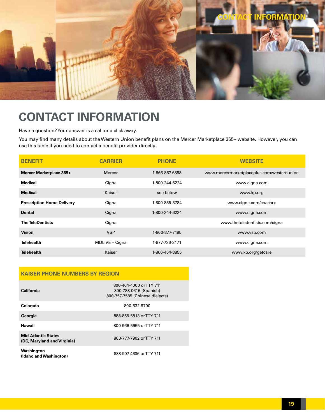<span id="page-18-0"></span>

# **CONTACT INFORMATION**

Have a question? Your answer is a call or a click away.

You may find many details about the Western Union benefit plans on the Mercer Marketplace 365+ website. However, you can use this table if you need to contact a benefit provider directly.

| <b>BENEFIT</b>                    | <b>CARRIER</b> | <b>PHONE</b>   | <b>WEBSITE</b>                             |
|-----------------------------------|----------------|----------------|--------------------------------------------|
| Mercer Marketplace 365+           | Mercer         | 1-866-867-6898 | www.mercermarketplaceplus.com/westernunion |
| Medical                           | Cigna          | 1-800-244-6224 | www.cigna.com                              |
| <b>Medical</b>                    | Kaiser         | see below      | www.kp.org                                 |
| <b>Prescription Home Delivery</b> | Cigna          | 1-800-835-3784 | www.cigna.com/coachrx                      |
| <b>Dental</b>                     | Cigna          | 1-800-244-6224 | www.cigna.com                              |
| <b>The TeleDentists</b>           | Cigna          |                | www.theteledentists.com/cigna              |
| <b>Vision</b>                     | <b>VSP</b>     | 1-800-877-7195 | www.vsp.com                                |
| <b>Telehealth</b>                 | MDLIVE - Cigna | 1-877-726-3171 | www.cigna.com                              |
| <b>Telehealth</b>                 | Kaiser         | 1-866-454-8855 | www.kp.org/getcare                         |

## **KAISER PHONE NUMBERS BY REGION**

| California                                                | 800-464-4000 or TTY 711<br>800-788-0616 (Spanish)<br>800-757-7585 (Chinese dialects) |
|-----------------------------------------------------------|--------------------------------------------------------------------------------------|
| Colorado                                                  | 800-632-9700                                                                         |
| Georgia                                                   | 888-865-5813 or TTY 711                                                              |
| Hawaii                                                    | 800-966-5955 or TTY 711                                                              |
| <b>Mid-Atlantic States</b><br>(DC, Maryland and Virginia) | 800-777-7902 or TTY 711                                                              |
| Washington<br>(Idaho and Washington)                      | 888-907-4636 or TTY 711                                                              |